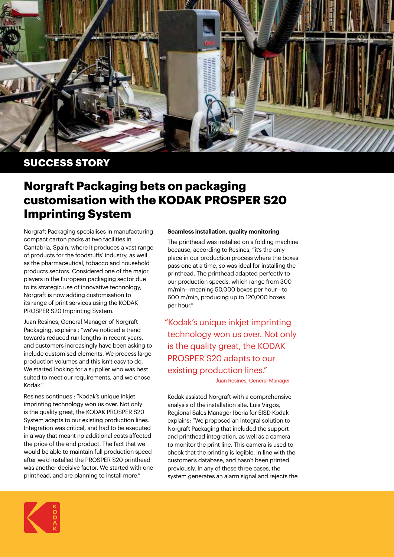

## **SUCCESS STORY**

## **Norgraft Packaging bets on packaging customisation with the KODAK PROSPER S20 Imprinting System**

Norgraft Packaging specialises in manufacturing compact carton packs at two facilities in Cantabria, Spain, where it produces a vast range of products for the foodstuffs' industry, as well as the pharmaceutical, tobacco and household products sectors. Considered one of the major players in the European packaging sector due to its strategic use of innovative technology, Norgraft is now adding customisation to its range of print services using the KODAK PROSPER S20 Imprinting System.

Juan Resines, General Manager of Norgraft Packaging, explains : "we've noticed a trend towards reduced run lengths in recent years, and customers increasingly have been asking to include customised elements. We process large production volumes and this isn't easy to do. We started looking for a supplier who was best suited to meet our requirements, and we chose Kodak."

Resines continues : "Kodak's unique inkjet imprinting technology won us over. Not only is the quality great, the KODAK PROSPER S20 System adapts to our existing production lines. Integration was critical, and had to be executed in a way that meant no additional costs affected the price of the end product. The fact that we would be able to maintain full production speed after we'd installed the PROSPER S20 printhead was another decisive factor. We started with one printhead, and are planning to install more."

## **Seamless installation, quality monitoring**

The printhead was installed on a folding machine because, according to Resines, "it's the only place in our production process where the boxes pass one at a time, so was ideal for installing the printhead. The printhead adapted perfectly to our production speeds, which range from 300 m/min—meaning 50,000 boxes per hour—to 600 m/min, producing up to 120,000 boxes per hour."

"Kodak's unique inkjet imprinting technology won us over. Not only is the quality great, the KODAK PROSPER S20 adapts to our existing production lines."

Juan Resines, General Manager

Kodak assisted Norgraft with a comprehensive analysis of the installation site. Luis Virgos, Regional Sales Manager Iberia for EISD Kodak explains: "We proposed an integral solution to Norgraft Packaging that included the support and printhead integration, as well as a camera to monitor the print line. This camera is used to check that the printing is legible, in line with the customer's database, and hasn't been printed previously. In any of these three cases, the system generates an alarm signal and rejects the